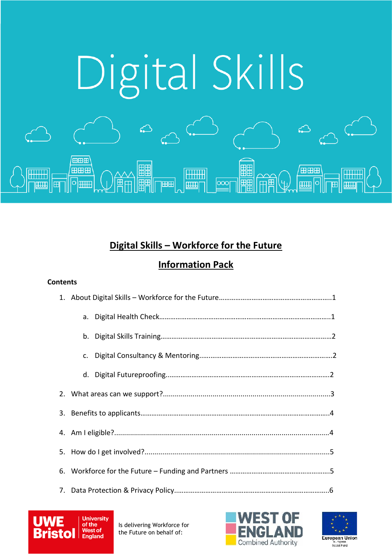

# **Digital Skills – Workforce for the Future**

# **Information Pack**

# **Contents**

| C. |  |  |
|----|--|--|
|    |  |  |
|    |  |  |
|    |  |  |
|    |  |  |
|    |  |  |
|    |  |  |
|    |  |  |





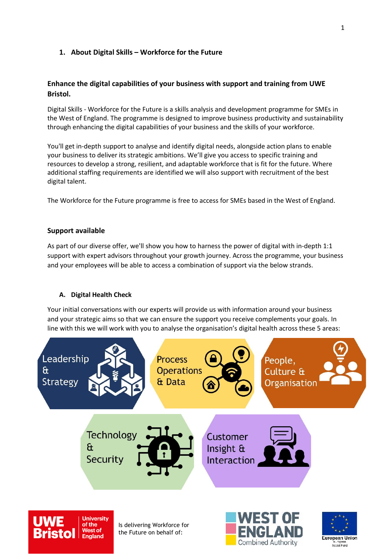### **1. About Digital Skills – Workforce for the Future**

### **Enhance the digital capabilities of your business with support and training from UWE Bristol.**

Digital Skills - Workforce for the Future is a skills analysis and development programme for SMEs in the West of England. The programme is designed to improve business productivity and sustainability through enhancing the digital capabilities of your business and the skills of your workforce.

You'll get in-depth support to analyse and identify digital needs, alongside action plans to enable your business to deliver its strategic ambitions. We'll give you access to specific training and resources to develop a strong, resilient, and adaptable workforce that is fit for the future. Where additional staffing requirements are identified we will also support with recruitment of the best digital talent.

The Workforce for the Future programme is free to access for SMEs based in the West of England.

### **Support available**

As part of our diverse offer, we'll show you how to harness the power of digital with in-depth 1:1 support with expert advisors throughout your growth journey. Across the programme, your business and your employees will be able to access a combination of support via the below strands.

### **A. Digital Health Check**

Your initial conversations with our experts will provide us with information around your business and your strategic aims so that we can ensure the support you receive complements your goals. In line with this we will work with you to analyse the organisation's digital health across these 5 areas:



Combined Authority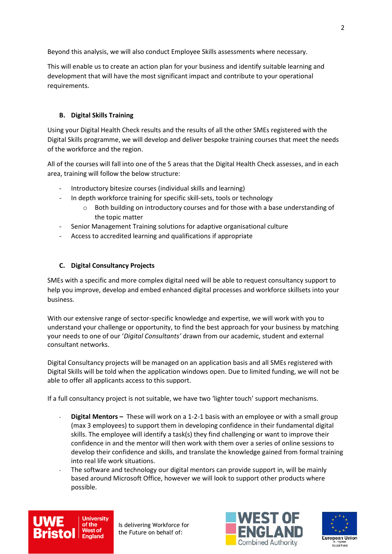Beyond this analysis, we will also conduct Employee Skills assessments where necessary.

This will enable us to create an action plan for your business and identify suitable learning and development that will have the most significant impact and contribute to your operational requirements.

### **B. Digital Skills Training**

Using your Digital Health Check results and the results of all the other SMEs registered with the Digital Skills programme, we will develop and deliver bespoke training courses that meet the needs of the workforce and the region.

All of the courses will fall into one of the 5 areas that the Digital Health Check assesses, and in each area, training will follow the below structure:

- Introductory bitesize courses (individual skills and learning)
- In depth workforce training for specific skill-sets, tools or technology
	- $\circ$  Both building on introductory courses and for those with a base understanding of the topic matter
- Senior Management Training solutions for adaptive organisational culture
- Access to accredited learning and qualifications if appropriate

### **C. Digital Consultancy Projects**

SMEs with a specific and more complex digital need will be able to request consultancy support to help you improve, develop and embed enhanced digital processes and workforce skillsets into your business.

With our extensive range of sector-specific knowledge and expertise, we will work with you to understand your challenge or opportunity, to find the best approach for your business by matching your needs to one of our '*Digital Consultants'* drawn from our academic, student and external consultant networks.

Digital Consultancy projects will be managed on an application basis and all SMEs registered with Digital Skills will be told when the application windows open. Due to limited funding, we will not be able to offer all applicants access to this support.

If a full consultancy project is not suitable, we have two 'lighter touch' support mechanisms.

- **Digital Mentors –** These will work on a 1-2-1 basis with an employee or with a small group (max 3 employees) to support them in developing confidence in their fundamental digital skills. The employee will identify a task(s) they find challenging or want to improve their confidence in and the mentor will then work with them over a series of online sessions to develop their confidence and skills, and translate the knowledge gained from formal training into real life work situations.
- The software and technology our digital mentors can provide support in, will be mainly based around Microsoft Office, however we will look to support other products where possible.





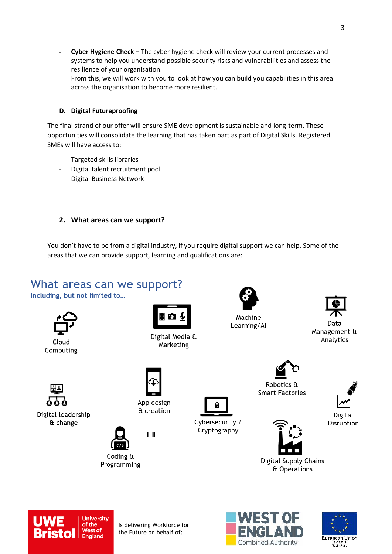- **Cyber Hygiene Check –** The cyber hygiene check will review your current processes and systems to help you understand possible security risks and vulnerabilities and assess the resilience of your organisation.
- From this, we will work with you to look at how you can build you capabilities in this area across the organisation to become more resilient.

### **D. Digital Futureproofing**

The final strand of our offer will ensure SME development is sustainable and long-term. These opportunities will consolidate the learning that has taken part as part of Digital Skills. Registered SMEs will have access to:

- Targeted skills libraries
- Digital talent recruitment pool
- Digital Business Network

# **2. What areas can we support?**

You don't have to be from a digital industry, if you require digital support we can help. Some of the areas that we can provide support, learning and qualifications are:

# What areas can we support?

Including, but not limited to...



Cloud Computing



Digital Media & Marketing



Machine Learning/Al



Data Management & Analytics



Digital leadership & change





Coding & Programming



Cybersecurity / Cryptography



Robotics & **Smart Factories** 



Digital Disruption





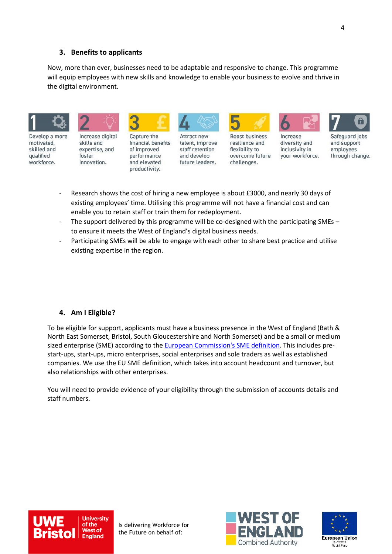### **3. Benefits to applicants**

Now, more than ever, businesses need to be adaptable and responsive to change. This programme will equip employees with new skills and knowledge to enable your business to evolve and thrive in the digital environment.



Develop a more motivated. skilled and qualified workforce.

Increase digital skills and expertise, and foster innovation.



Capture the financial benefits of improved performance and elevated productivity.



Attract new talent, improve staff retention and develop future leaders.



**Boost business** resilience and flexibility to overcome future challenges.



diversity and

inclusivity in

vour workforce.





Safeguard jobs and support employees through change.

- Research shows the cost of hiring a new employee is about £3000, and nearly 30 days of existing employees' time. Utilising this programme will not have a financial cost and can enable you to retain staff or train them for redeployment.
- The support delivered by this programme will be co-designed with the participating SMEs to ensure it meets the West of England's digital business needs.
- Participating SMEs will be able to engage with each other to share best practice and utilise existing expertise in the region.

#### **4. Am I Eligible?**

To be eligible for support, applicants must have a business presence in the West of England (Bath & North East Somerset, Bristol, South Gloucestershire and North Somerset) and be a small or medium sized enterprise (SME) according to the [European Commission's SME definition.](http://ec.europa.eu/growth/smes/business-friendly-environment/sme-definition_en) This includes prestart-ups, start-ups, micro enterprises, social enterprises and sole traders as well as established companies. We use the EU SME definition, which takes into account headcount and turnover, but also relationships with other enterprises.

You will need to provide evidence of your eligibility through the submission of accounts details and staff numbers.





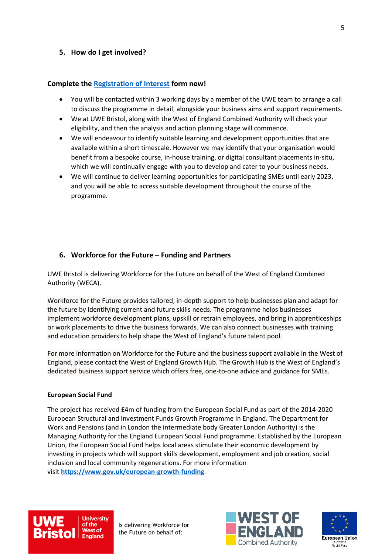### **5. How do I get involved?**

### **Complete the [Registration of Interest](https://uwe.eu.qualtrics.com/jfe/form/SV_9NshK91WtAgR9Iy) form now!**

- You will be contacted within 3 working days by a member of the UWE team to arrange a call to discuss the programme in detail, alongside your business aims and support requirements.
- We at UWE Bristol, along with the West of England Combined Authority will check your eligibility, and then the analysis and action planning stage will commence.
- We will endeavour to identify suitable learning and development opportunities that are available within a short timescale. However we may identify that your organisation would benefit from a bespoke course, in-house training, or digital consultant placements in-situ, which we will continually engage with you to develop and cater to your business needs.
- We will continue to deliver learning opportunities for participating SMEs until early 2023, and you will be able to access suitable development throughout the course of the programme.

# **6. Workforce for the Future – Funding and Partners**

UWE Bristol is delivering Workforce for the Future on behalf of the West of England Combined Authority (WECA).

Workforce for the Future provides tailored, in-depth support to help businesses plan and adapt for the future by identifying current and future skills needs. The programme helps businesses implement workforce development plans, upskill or retrain employees, and bring in apprenticeships or work placements to drive the business forwards. We can also connect businesses with training and education providers to help shape the West of England's future talent pool.

For more information on Workforce for the Future and the business support available in the West of England, please contact the West of England Growth Hub. The Growth Hub is the West of England's dedicated business support service which offers free, one-to-one advice and guidance for SMEs.

### **European Social Fund**

The project has received £4m of funding from the European Social Fund as part of the 2014-2020 European Structural and Investment Funds Growth Programme in England. The Department for Work and Pensions (and in London the intermediate body Greater London Authority) is the Managing Authority for the England European Social Fund programme. Established by the European Union, the European Social Fund helps local areas stimulate their economic development by investing in projects which will support skills development, employment and job creation, social inclusion and local community regenerations. For more information visit **<https://www.gov.uk/european-growth-funding>**.